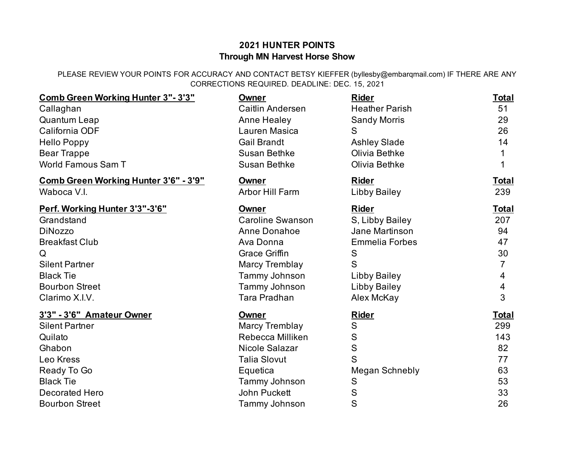## **2021 HUNTER POINTS Through MN Harvest Horse Show**

PLEASE REVIEW YOUR POINTS FOR ACCURACY AND CONTACT BETSY KIEFFER (byllesby@embarqmail.com) IF THERE ARE ANY CORRECTIONS REQUIRED. DEADLINE: DEC. 15, 2021

| Comb Green Working Hunter 3"-3'3"     | Owner                   | <b>Rider</b>          | <b>Total</b> |
|---------------------------------------|-------------------------|-----------------------|--------------|
| Callaghan                             | Caitlin Andersen        | <b>Heather Parish</b> | 51           |
| Quantum Leap                          | Anne Healey             | <b>Sandy Morris</b>   | 29           |
| California ODF                        | Lauren Masica           | S                     | 26           |
| <b>Hello Poppy</b>                    | <b>Gail Brandt</b>      | <b>Ashley Slade</b>   | 14           |
| <b>Bear Trappe</b>                    | <b>Susan Bethke</b>     | Olivia Bethke         |              |
| <b>World Famous Sam T</b>             | Susan Bethke            | Olivia Bethke         |              |
| Comb Green Working Hunter 3'6" - 3'9" | Owner                   | <b>Rider</b>          | <b>Total</b> |
| Waboca V.I.                           | Arbor Hill Farm         | <b>Libby Bailey</b>   | 239          |
| Perf. Working Hunter 3'3"-3'6"        | <b>Owner</b>            | <b>Rider</b>          | <b>Total</b> |
| Grandstand                            | <b>Caroline Swanson</b> | S, Libby Bailey       | 207          |
| <b>DiNozzo</b>                        | Anne Donahoe            | Jane Martinson        | 94           |
| <b>Breakfast Club</b>                 | Ava Donna               | <b>Emmelia Forbes</b> | 47           |
| Q                                     | <b>Grace Griffin</b>    | S                     | 30           |
| <b>Silent Partner</b>                 | <b>Marcy Tremblay</b>   | S                     |              |
| <b>Black Tie</b>                      | Tammy Johnson           | <b>Libby Bailey</b>   | 4            |
| <b>Bourbon Street</b>                 | Tammy Johnson           | <b>Libby Bailey</b>   | 4            |
| Clarimo X.I.V.                        | <b>Tara Pradhan</b>     | Alex McKay            | 3            |
| 3'3" - 3'6" Amateur Owner             | Owner                   | <b>Rider</b>          | <b>Total</b> |
| <b>Silent Partner</b>                 | Marcy Tremblay          | S                     | 299          |
| Quilato                               | Rebecca Milliken        | S                     | 143          |
| Ghabon                                | Nicole Salazar          | ${\mathsf S}$         | 82           |
| Leo Kress                             | <b>Talia Slovut</b>     | S                     | 77           |
| Ready To Go                           | Equetica                | <b>Megan Schnebly</b> | 63           |
| <b>Black Tie</b>                      | Tammy Johnson           | S                     | 53           |
| <b>Decorated Hero</b>                 | <b>John Puckett</b>     | S                     | 33           |
| <b>Bourbon Street</b>                 | Tammy Johnson           | S                     | 26           |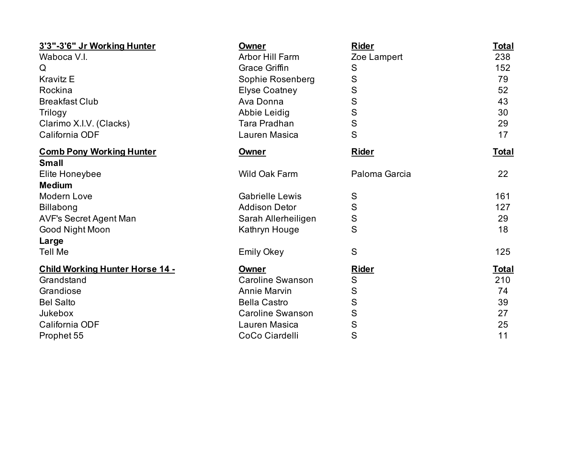| 3'3"-3'6" Jr Working Hunter            | Owner                   | <b>Rider</b>  | <b>Total</b> |
|----------------------------------------|-------------------------|---------------|--------------|
| Waboca V.I.                            | <b>Arbor Hill Farm</b>  | Zoe Lampert   | 238          |
| Q                                      | <b>Grace Griffin</b>    | S             | 152          |
| <b>Kravitz E</b>                       | Sophie Rosenberg        | S             | 79           |
| Rockina                                | <b>Elyse Coatney</b>    | S             | 52           |
| <b>Breakfast Club</b>                  | Ava Donna               | S             | 43           |
| Trilogy                                | Abbie Leidig            | S             | 30           |
| Clarimo X.I.V. (Clacks)                | Tara Pradhan            | $\mathbf S$   | 29           |
| California ODF                         | Lauren Masica           | S             | 17           |
| <b>Comb Pony Working Hunter</b>        | Owner                   | <b>Rider</b>  | <u>Total</u> |
| <b>Small</b>                           |                         |               |              |
| Elite Honeybee                         | Wild Oak Farm           | Paloma Garcia | 22           |
| <b>Medium</b>                          |                         |               |              |
| Modern Love                            | <b>Gabrielle Lewis</b>  | S             | 161          |
| <b>Billabong</b>                       | <b>Addison Detor</b>    | ${\sf S}$     | 127          |
| <b>AVF's Secret Agent Man</b>          | Sarah Allerheiligen     | S             | 29           |
| Good Night Moon                        | Kathryn Houge           | S             | 18           |
| Large                                  |                         |               |              |
| <b>Tell Me</b>                         | <b>Emily Okey</b>       | S             | 125          |
| <b>Child Working Hunter Horse 14 -</b> | Owner                   | <b>Rider</b>  | Total        |
| Grandstand                             | <b>Caroline Swanson</b> | ${\mathsf S}$ | 210          |
| Grandiose                              | <b>Annie Marvin</b>     | S             | 74           |
| <b>Bel Salto</b>                       | <b>Bella Castro</b>     | S             | 39           |
| Jukebox                                | <b>Caroline Swanson</b> | S             | 27           |
| California ODF                         | Lauren Masica           | S             | 25           |
| Prophet 55                             | CoCo Ciardelli          | S             | 11           |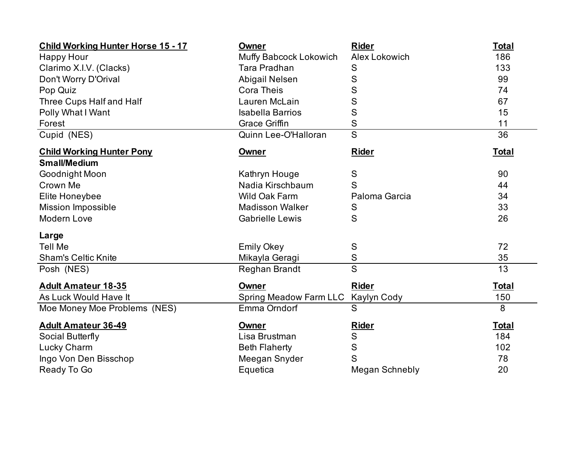| <b>Child Working Hunter Horse 15 - 17</b> | Owner                         | <b>Rider</b>            | <b>Total</b> |
|-------------------------------------------|-------------------------------|-------------------------|--------------|
| <b>Happy Hour</b>                         | Muffy Babcock Lokowich        | Alex Lokowich           | 186          |
| Clarimo X.I.V. (Clacks)                   | Tara Pradhan                  | S                       | 133          |
| Don't Worry D'Orival                      | Abigail Nelsen                | S                       | 99           |
| Pop Quiz                                  | <b>Cora Theis</b>             | S                       | 74           |
| Three Cups Half and Half                  | Lauren McLain                 | S                       | 67           |
| Polly What I Want                         | <b>Isabella Barrios</b>       | S                       | 15           |
| Forest                                    | <b>Grace Griffin</b>          | S                       | 11           |
| Cupid (NES)                               | Quinn Lee-O'Halloran          | $\overline{\mathsf{S}}$ | 36           |
| <b>Child Working Hunter Pony</b>          | <b>Owner</b>                  | <b>Rider</b>            | <b>Total</b> |
| <b>Small/Medium</b>                       |                               |                         |              |
| Goodnight Moon                            | Kathryn Houge                 | ${\mathsf S}$           | 90           |
| Crown Me                                  | Nadia Kirschbaum              | S                       | 44           |
| Elite Honeybee                            | <b>Wild Oak Farm</b>          | Paloma Garcia           | 34           |
| <b>Mission Impossible</b>                 | <b>Madisson Walker</b>        | S                       | 33           |
| Modern Love                               | <b>Gabrielle Lewis</b>        | S                       | 26           |
| Large                                     |                               |                         |              |
| <b>Tell Me</b>                            | <b>Emily Okey</b>             | ${\mathsf S}$           | 72           |
| <b>Sham's Celtic Knite</b>                | Mikayla Geragi                | S                       | 35           |
| Posh (NES)                                | Reghan Brandt                 | S                       | 13           |
| <b>Adult Amateur 18-35</b>                | <b>Owner</b>                  | <b>Rider</b>            | <b>Total</b> |
| As Luck Would Have It                     | <b>Spring Meadow Farm LLC</b> | Kaylyn Cody             | 150          |
| Moe Money Moe Problems (NES)              | Emma Orndorf                  | S                       | 8            |
| <b>Adult Amateur 36-49</b>                | Owner                         | <b>Rider</b>            | <b>Total</b> |
| Social Butterfly                          | Lisa Brustman                 | ${\mathsf S}$           | 184          |
| Lucky Charm                               | <b>Beth Flaherty</b>          | ${\mathsf S}$           | 102          |
| Ingo Von Den Bisschop                     | Meegan Snyder                 | S                       | 78           |
| Ready To Go                               | Equetica                      | Megan Schnebly          | 20           |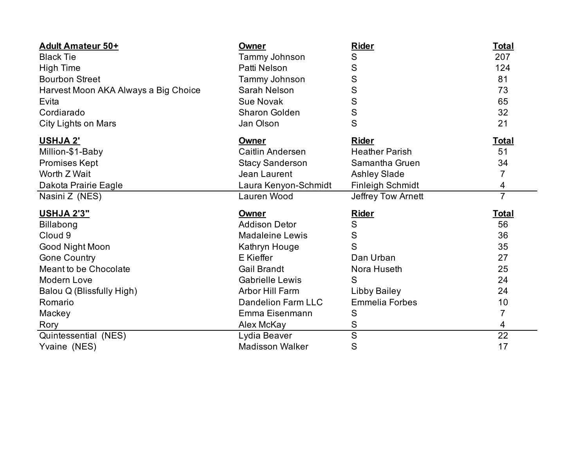| <b>Adult Amateur 50+</b>             | Owner                     | <b>Rider</b>            | <b>Total</b>   |
|--------------------------------------|---------------------------|-------------------------|----------------|
| <b>Black Tie</b>                     | Tammy Johnson             | S                       | 207            |
| <b>High Time</b>                     | Patti Nelson              | S                       | 124            |
| <b>Bourbon Street</b>                | Tammy Johnson             | $\mathsf S$             | 81             |
| Harvest Moon AKA Always a Big Choice | Sarah Nelson              | S                       | 73             |
| Evita                                | <b>Sue Novak</b>          | $\mathbf S$             | 65             |
| Cordiarado                           | <b>Sharon Golden</b>      | $\mathsf{S}$            | 32             |
| City Lights on Mars                  | Jan Olson                 | S                       | 21             |
| USHJA 2'                             | Owner                     | <b>Rider</b>            | <b>Total</b>   |
| Million-\$1-Baby                     | Caitlin Andersen          | <b>Heather Parish</b>   | 51             |
| <b>Promises Kept</b>                 | <b>Stacy Sanderson</b>    | Samantha Gruen          | 34             |
| Worth Z Wait                         | Jean Laurent              | <b>Ashley Slade</b>     | 7              |
| Dakota Prairie Eagle                 | Laura Kenyon-Schmidt      | <b>Finleigh Schmidt</b> | 4              |
| Nasini Z (NES)                       | Lauren Wood               | Jeffrey Tow Arnett      | $\overline{7}$ |
| <b>USHJA 2'3"</b>                    | <b>Owner</b>              | <b>Rider</b>            | <u>Total</u>   |
| <b>Billabong</b>                     | <b>Addison Detor</b>      | S                       | 56             |
| Cloud <sub>9</sub>                   | <b>Madaleine Lewis</b>    | ${\sf S}$               | 36             |
| Good Night Moon                      | Kathryn Houge             | S                       | 35             |
| <b>Gone Country</b>                  | E Kieffer                 | Dan Urban               | 27             |
| Meant to be Chocolate                | <b>Gail Brandt</b>        | Nora Huseth             | 25             |
| Modern Love                          | <b>Gabrielle Lewis</b>    | S                       | 24             |
| Balou Q (Blissfully High)            | <b>Arbor Hill Farm</b>    | <b>Libby Bailey</b>     | 24             |
| Romario                              | <b>Dandelion Farm LLC</b> | <b>Emmelia Forbes</b>   | 10             |
| Mackey                               | Emma Eisenmann            | ${\sf S}$               | 7              |
| Rory                                 |                           |                         |                |
|                                      | Alex McKay                | ${\sf S}$               | 4              |
| Quintessential (NES)                 | Lydia Beaver              | $\overline{S}$          | 22             |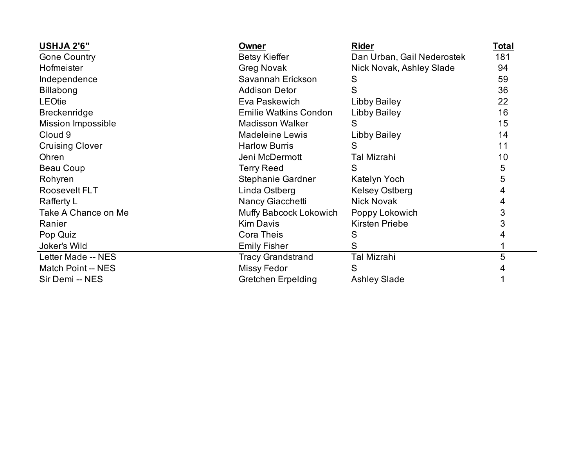| <b>USHJA 2'6"</b>         | Owner                        | <b>Rider</b>               | <u>Total</u> |
|---------------------------|------------------------------|----------------------------|--------------|
| <b>Gone Country</b>       | <b>Betsy Kieffer</b>         | Dan Urban, Gail Nederostek | 181          |
| Hofmeister                | Greg Novak                   | Nick Novak, Ashley Slade   | 94           |
| Independence              | Savannah Erickson            | S                          | 59           |
| <b>Billabong</b>          | <b>Addison Detor</b>         | S                          | 36           |
| <b>LEOtie</b>             | Eva Paskewich                | Libby Bailey               | 22           |
| <b>Breckenridge</b>       | <b>Emilie Watkins Condon</b> | Libby Bailey               | 16           |
| <b>Mission Impossible</b> | <b>Madisson Walker</b>       | S                          | 15           |
| Cloud 9                   | <b>Madeleine Lewis</b>       | Libby Bailey               | 14           |
| <b>Cruising Clover</b>    | <b>Harlow Burris</b>         | S                          | 11           |
| Ohren                     | Jeni McDermott               | <b>Tal Mizrahi</b>         | 10           |
| Beau Coup                 | <b>Terry Reed</b>            | S                          | 5            |
| Rohyren                   | Stephanie Gardner            | Katelyn Yoch               | 5            |
| Roosevelt FLT             | Linda Ostberg                | <b>Kelsey Ostberg</b>      | 4            |
| Rafferty L                | Nancy Giacchetti             | <b>Nick Novak</b>          | 4            |
| Take A Chance on Me       | Muffy Babcock Lokowich       | Poppy Lokowich             | 3            |
| Ranier                    | <b>Kim Davis</b>             | <b>Kirsten Priebe</b>      | 3            |
| Pop Quiz                  | <b>Cora Theis</b>            | S                          | 4            |
| Joker's Wild              | <b>Emily Fisher</b>          | S                          |              |
| Letter Made -- NES        | <b>Tracy Grandstrand</b>     | Tal Mizrahi                | 5            |
| Match Point -- NES        | <b>Missy Fedor</b>           | S                          |              |
| Sir Demi -- NES           | <b>Gretchen Erpelding</b>    | <b>Ashley Slade</b>        |              |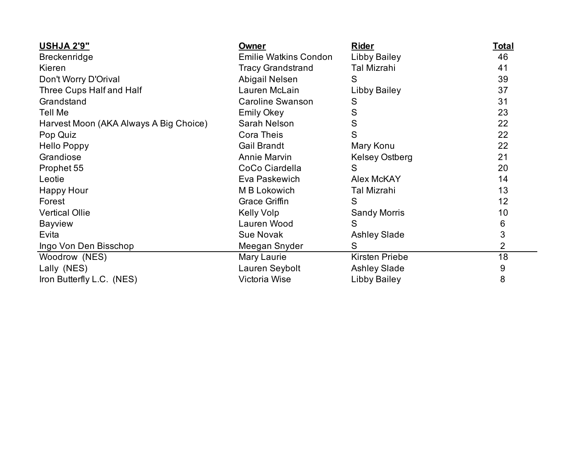| <b>USHJA 2'9"</b>                      | Owner                        | <b>Rider</b>          | <u>Total</u>   |
|----------------------------------------|------------------------------|-----------------------|----------------|
| <b>Breckenridge</b>                    | <b>Emilie Watkins Condon</b> | Libby Bailey          | 46             |
| Kieren                                 | <b>Tracy Grandstrand</b>     | Tal Mizrahi           | 41             |
| Don't Worry D'Orival                   | Abigail Nelsen               | S                     | 39             |
| Three Cups Half and Half               | Lauren McLain                | Libby Bailey          | 37             |
| Grandstand                             | <b>Caroline Swanson</b>      | S                     | 31             |
| <b>Tell Me</b>                         | <b>Emily Okey</b>            | S                     | 23             |
| Harvest Moon (AKA Always A Big Choice) | Sarah Nelson                 | S                     | 22             |
| Pop Quiz                               | <b>Cora Theis</b>            | S                     | 22             |
| <b>Hello Poppy</b>                     | <b>Gail Brandt</b>           | Mary Konu             | 22             |
| Grandiose                              | <b>Annie Marvin</b>          | <b>Kelsey Ostberg</b> | 21             |
| Prophet 55                             | CoCo Ciardella               | S                     | 20             |
| Leotie                                 | Eva Paskewich                | Alex McKAY            | 14             |
| <b>Happy Hour</b>                      | M B Lokowich                 | Tal Mizrahi           | 13             |
| Forest                                 | Grace Griffin                | S                     | 12             |
| <b>Vertical Ollie</b>                  | Kelly Volp                   | <b>Sandy Morris</b>   | 10             |
| <b>Bayview</b>                         | Lauren Wood                  | S                     | 6              |
| Evita                                  | <b>Sue Novak</b>             | <b>Ashley Slade</b>   | 3              |
| Ingo Von Den Bisschop                  | Meegan Snyder                | S                     | $\overline{2}$ |
| Woodrow (NES)                          | Mary Laurie                  | Kirsten Priebe        | 18             |
| Lally (NES)                            | Lauren Seybolt               | <b>Ashley Slade</b>   | 9              |
| Iron Butterfly L.C. (NES)              | Victoria Wise                | Libby Bailey          | 8              |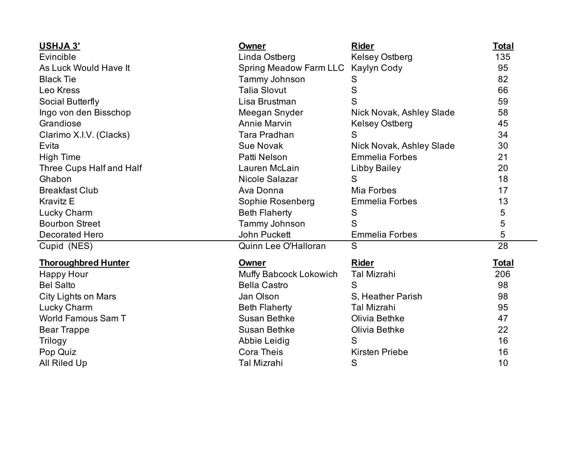| <b>USHJA 3'</b>            | Owner                         | <b>Rider</b>             | <b>Total</b> |
|----------------------------|-------------------------------|--------------------------|--------------|
| Evincible                  | Linda Ostberg                 | <b>Kelsey Ostberg</b>    | 135          |
| As Luck Would Have It      | <b>Spring Meadow Farm LLC</b> | Kaylyn Cody              | 95           |
| <b>Black Tie</b>           | Tammy Johnson                 | S                        | 82           |
| Leo Kress                  | <b>Talia Slovut</b>           | $\mathsf S$              | 66           |
| Social Butterfly           | Lisa Brustman                 | S                        | 59           |
| Ingo von den Bisschop      | Meegan Snyder                 | Nick Novak, Ashley Slade | 58           |
| Grandiose                  | <b>Annie Marvin</b>           | <b>Kelsey Ostberg</b>    | 45           |
| Clarimo X.I.V. (Clacks)    | Tara Pradhan                  | S                        | 34           |
| Evita                      | <b>Sue Novak</b>              | Nick Novak, Ashley Slade | 30           |
| <b>High Time</b>           | Patti Nelson                  | <b>Emmelia Forbes</b>    | 21           |
| Three Cups Half and Half   | Lauren McLain                 | <b>Libby Bailey</b>      | 20           |
| Ghabon                     | Nicole Salazar                | S                        | 18           |
| <b>Breakfast Club</b>      | Ava Donna                     | Mia Forbes               | 17           |
| <b>Kravitz E</b>           | Sophie Rosenberg              | <b>Emmelia Forbes</b>    | 13           |
| Lucky Charm                | <b>Beth Flaherty</b>          | S                        | 5            |
| <b>Bourbon Street</b>      | Tammy Johnson                 | S                        | $\mathbf 5$  |
| <b>Decorated Hero</b>      | John Puckett                  | <b>Emmelia Forbes</b>    | 5            |
| Cupid (NES)                | Quinn Lee O'Halloran          | S                        | 28           |
| <b>Thoroughbred Hunter</b> | <b>Owner</b>                  | <b>Rider</b>             | <b>Total</b> |
| <b>Happy Hour</b>          | Muffy Babcock Lokowich        | <b>Tal Mizrahi</b>       | 206          |
| <b>Bel Salto</b>           | <b>Bella Castro</b>           | S                        | 98           |
| City Lights on Mars        | Jan Olson                     | S. Heather Parish        | 98           |
| Lucky Charm                | <b>Beth Flaherty</b>          | <b>Tal Mizrahi</b>       | 95           |
| World Famous Sam T         | <b>Susan Bethke</b>           | Olivia Bethke            | 47           |
| <b>Bear Trappe</b>         | <b>Susan Bethke</b>           | Olivia Bethke            | 22           |
| Trilogy                    | Abbie Leidig                  | S                        | 16           |
| Pop Quiz                   | <b>Cora Theis</b>             | <b>Kirsten Priebe</b>    | 16           |
| All Riled Up               | Tal Mizrahi                   | S                        | 10           |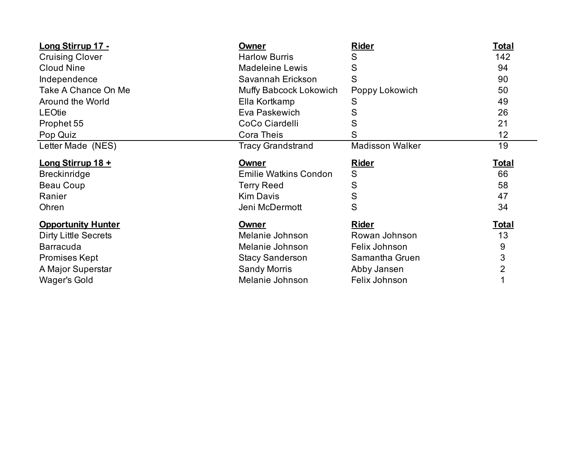| Long Stirrup 17 -           | <b>Owner</b>                 | <b>Rider</b>           | <b>Total</b> |
|-----------------------------|------------------------------|------------------------|--------------|
| <b>Cruising Clover</b>      | <b>Harlow Burris</b>         | S                      | 142          |
| <b>Cloud Nine</b>           | <b>Madeleine Lewis</b>       | S                      | 94           |
| Independence                | Savannah Erickson            | S                      | 90           |
| Take A Chance On Me         | Muffy Babcock Lokowich       | Poppy Lokowich         | 50           |
| Around the World            | Ella Kortkamp                | S                      | 49           |
| <b>LEOtie</b>               | Eva Paskewich                | S                      | 26           |
| Prophet 55                  | CoCo Ciardelli               | S                      | 21           |
| Pop Quiz                    | <b>Cora Theis</b>            | S                      | 12           |
| Letter Made (NES)           | <b>Tracy Grandstrand</b>     | <b>Madisson Walker</b> | 19           |
| Long Stirrup 18 +           | Owner                        | <b>Rider</b>           | <u>Total</u> |
| <b>Breckinridge</b>         | <b>Emilie Watkins Condon</b> | S                      | 66           |
| Beau Coup                   | <b>Terry Reed</b>            | S                      | 58           |
| Ranier                      | <b>Kim Davis</b>             | S                      | 47           |
| Ohren                       | Jeni McDermott               | S                      | 34           |
| <b>Opportunity Hunter</b>   | <b>Owner</b>                 | <u>Rider</u>           | <u>Total</u> |
| <b>Dirty Little Secrets</b> | Melanie Johnson              | Rowan Johnson          | 13           |
| <b>Barracuda</b>            | Melanie Johnson              | Felix Johnson          | 9            |
| <b>Promises Kept</b>        | <b>Stacy Sanderson</b>       | Samantha Gruen         | 3            |
| A Major Superstar           | <b>Sandy Morris</b>          | Abby Jansen            | 2            |
|                             |                              |                        |              |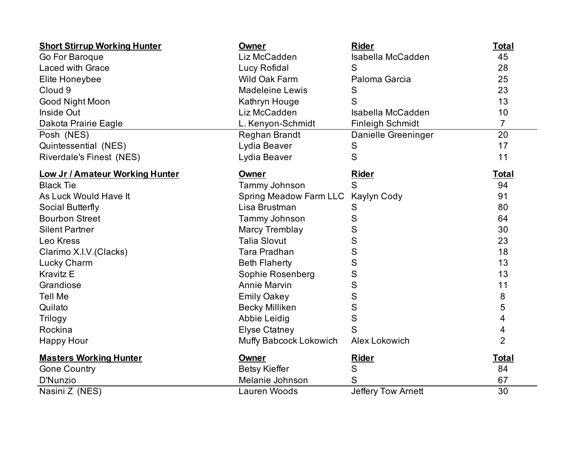| <b>Short Stirrup Working Hunter</b>    | <b>Owner</b>                       | <b>Rider</b>              | <b>Total</b>   |
|----------------------------------------|------------------------------------|---------------------------|----------------|
| Go For Baroque                         | Liz McCadden                       | Isabella McCadden         | 45             |
| Laced with Grace                       | Lucy Rofidal                       | S                         | 28             |
| Elite Honeybee                         | Wild Oak Farm                      | Paloma Garcia             | 25             |
| Cloud 9                                | <b>Madeleine Lewis</b>             | ${\mathsf S}$             | 23             |
| Good Night Moon                        | Kathryn Houge                      | S                         | 13             |
| Inside Out                             | Liz McCadden                       | <b>Isabella McCadden</b>  | 10             |
| Dakota Prairie Eagle                   | L. Kenyon-Schmidt                  | <b>Finleigh Schmidt</b>   | $\overline{7}$ |
| Posh (NES)                             | Reghan Brandt                      | Danielle Greeninger       | 20             |
| Quintessential (NES)                   | Lydia Beaver                       | S                         | 17             |
| <b>Riverdale's Finest (NES)</b>        | Lydia Beaver                       | S                         | 11             |
| <b>Low Jr / Amateur Working Hunter</b> | Owner                              | <b>Rider</b>              | <b>Total</b>   |
| <b>Black Tie</b>                       | Tammy Johnson                      | S                         | 94             |
| As Luck Would Have It                  | Spring Meadow Farm LLC Kaylyn Cody |                           | 91             |
| Social Butterfly                       | Lisa Brustman                      | S                         | 80             |
| <b>Bourbon Street</b>                  | Tammy Johnson                      | S                         | 64             |
| <b>Silent Partner</b>                  | <b>Marcy Tremblay</b>              | S                         | 30             |
| Leo Kress                              | <b>Talia Slovut</b>                | S                         | 23             |
| Clarimo X.I.V.(Clacks)                 | Tara Pradhan                       | S                         | 18             |
| <b>Lucky Charm</b>                     | <b>Beth Flaherty</b>               | S                         | 13             |
| <b>Kravitz E</b>                       | Sophie Rosenberg                   | S                         | 13             |
| Grandiose                              | <b>Annie Marvin</b>                | S                         | 11             |
| <b>Tell Me</b>                         | <b>Emily Oakey</b>                 | S                         | 8              |
| Quilato                                | <b>Becky Milliken</b>              | S                         | 5              |
| Trilogy                                | Abbie Leidig                       | S                         | 4              |
| Rockina                                | <b>Elyse Ctatney</b>               | S                         | 4              |
| <b>Happy Hour</b>                      | Muffy Babcock Lokowich             | Alex Lokowich             | $\overline{2}$ |
| <b>Masters Working Hunter</b>          | Owner                              | <b>Rider</b>              | <b>Total</b>   |
| <b>Gone Country</b>                    | <b>Betsy Kieffer</b>               | S                         | 84             |
| <b>D'Nunzio</b>                        | Melanie Johnson                    | S                         | 67             |
| Nasini Z (NES)                         | Lauren Woods                       | <b>Jeffery Tow Arnett</b> | 30             |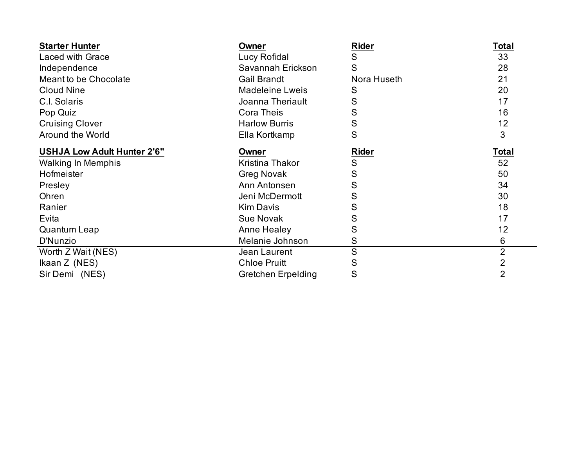| <b>Starter Hunter</b>              | <b>Owner</b>           | <b>Rider</b> | <b>Total</b>   |
|------------------------------------|------------------------|--------------|----------------|
| <b>Laced with Grace</b>            | Lucy Rofidal           | S            | 33             |
| Independence                       | Savannah Erickson      | S            | 28             |
| Meant to be Chocolate              | <b>Gail Brandt</b>     | Nora Huseth  | 21             |
| <b>Cloud Nine</b>                  | <b>Madeleine Lweis</b> | S            | 20             |
| C.I. Solaris                       | Joanna Theriault       | S            | 17             |
| Pop Quiz                           | <b>Cora Theis</b>      | S            | 16             |
| <b>Cruising Clover</b>             | <b>Harlow Burris</b>   | S            | 12             |
| Around the World                   | Ella Kortkamp          | S            | 3              |
| <b>USHJA Low Adult Hunter 2'6"</b> | Owner                  | <b>Rider</b> | Total          |
| <b>Walking In Memphis</b>          | Kristina Thakor        | S            | 52             |
| Hofmeister                         | <b>Greg Novak</b>      | S            | 50             |
| Presley                            | Ann Antonsen           | S            | 34             |
| Ohren                              | Jeni McDermott         | S            | 30             |
| Ranier                             | <b>Kim Davis</b>       | S            | 18             |
| Evita                              | <b>Sue Novak</b>       | S            | 17             |
| Quantum Leap                       | Anne Healey            | S            | 12             |
| D'Nunzio                           | Melanie Johnson        | S            | 6              |
| Worth Z Wait (NES)                 | Jean Laurent           | S            | $\overline{2}$ |
| Ikaan Z (NES)                      | <b>Chloe Pruitt</b>    | S            | 2              |
| Sir Demi (NES)                     | Gretchen Erpelding     | S            | $\overline{2}$ |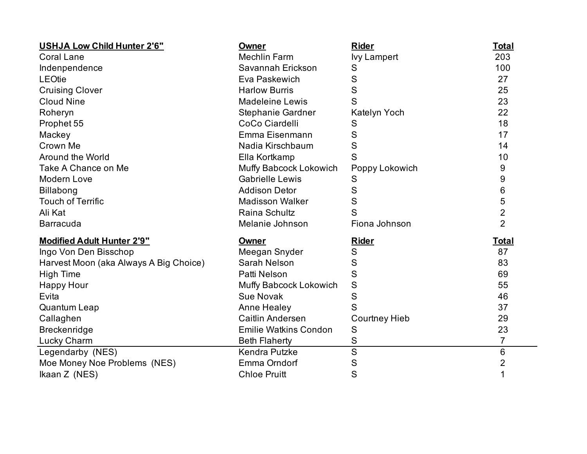| <b>USHJA Low Child Hunter 2'6"</b>     | <b>Owner</b>                 | <b>Rider</b>            | <b>Total</b>   |
|----------------------------------------|------------------------------|-------------------------|----------------|
| <b>Coral Lane</b>                      | <b>Mechlin Farm</b>          | <b>Ivy Lampert</b>      | 203            |
| Indenpendence                          | Savannah Erickson            | S                       | 100            |
| <b>LEOtie</b>                          | Eva Paskewich                | S                       | 27             |
| <b>Cruising Clover</b>                 | <b>Harlow Burris</b>         | S                       | 25             |
| <b>Cloud Nine</b>                      | <b>Madeleine Lewis</b>       | S                       | 23             |
| Roheryn                                | Stephanie Gardner            | Katelyn Yoch            | 22             |
| Prophet 55                             | CoCo Ciardelli               | S                       | 18             |
| Mackey                                 | Emma Eisenmann               | S                       | 17             |
| Crown Me                               | Nadia Kirschbaum             | S                       | 14             |
| Around the World                       | Ella Kortkamp                | S                       | 10             |
| Take A Chance on Me                    | Muffy Babcock Lokowich       | Poppy Lokowich          | 9              |
| Modern Love                            | <b>Gabrielle Lewis</b>       | S                       | 9              |
| <b>Billabong</b>                       | <b>Addison Detor</b>         | S                       | 6              |
| <b>Touch of Terrific</b>               | <b>Madisson Walker</b>       | $\mathsf S$             | 5              |
| Ali Kat                                | Raina Schultz                | S                       | $\overline{2}$ |
| <b>Barracuda</b>                       | Melanie Johnson              | Fiona Johnson           | $\overline{2}$ |
| <b>Modified Adult Hunter 2'9"</b>      | Owner                        | <b>Rider</b>            | <u>Total</u>   |
| Ingo Von Den Bisschop                  | Meegan Snyder                | S                       | 87             |
| Harvest Moon (aka Always A Big Choice) | Sarah Nelson                 | S                       | 83             |
| <b>High Time</b>                       | Patti Nelson                 | S                       | 69             |
| <b>Happy Hour</b>                      | Muffy Babcock Lokowich       | S                       | 55             |
| Evita                                  | <b>Sue Novak</b>             | S                       | 46             |
| <b>Quantum Leap</b>                    | <b>Anne Healey</b>           | S                       | 37             |
| Callaghen                              | Caitlin Andersen             | <b>Courtney Hieb</b>    | 29             |
| Breckenridge                           | <b>Emilie Watkins Condon</b> | S                       | 23             |
| Lucky Charm                            | <b>Beth Flaherty</b>         | S                       | 7              |
| Legendarby (NES)                       | Kendra Putzke                | $\overline{\mathsf{s}}$ | 6              |
| Moe Money Noe Problems (NES)           | Emma Orndorf                 | S                       | $\overline{2}$ |
| Ikaan Z (NES)                          | <b>Chloe Pruitt</b>          | S                       | 1              |